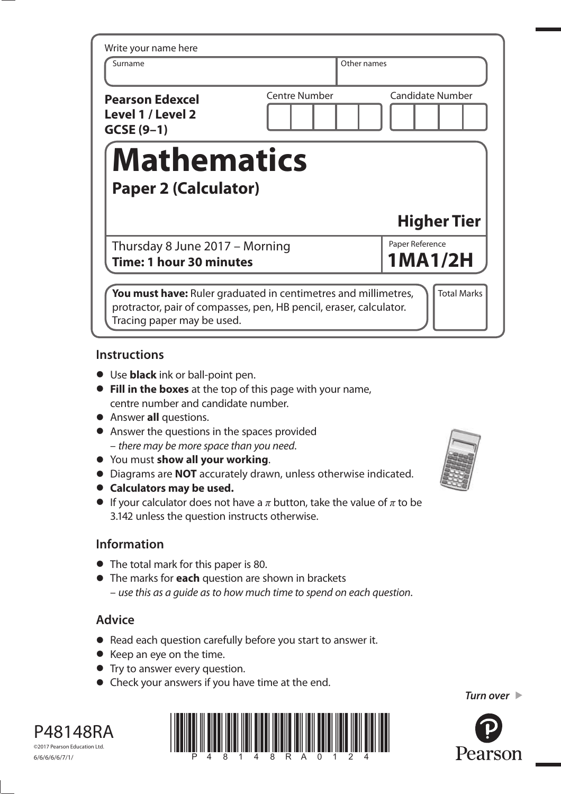| Write your name here                                       |               |                         |
|------------------------------------------------------------|---------------|-------------------------|
| Surname                                                    | Other names   |                         |
| <b>Pearson Edexcel</b><br>Level 1 / Level 2<br>$GCSE(9-1)$ | Centre Number | <b>Candidate Number</b> |
|                                                            |               |                         |
| <b>Mathematics</b>                                         |               |                         |
| <b>Paper 2 (Calculator)</b>                                |               | <b>Higher Tier</b>      |

### **Instructions**

- Use **black** ink or ball-point pen.
- **Fill in the boxes** at the top of this page with your name, centre number and candidate number.
- Answer **all** questions.
- Answer the questions in the spaces provided – there may be more space than you need.
- You must **show all your working**.
- **•** You must **show all your working**.<br>• Diagrams are **NOT** accurately drawn, unless otherwise indicated.
- **•** Diagrams are **NOT** accurate<br> **Calculators may be used.**
- **Calculators may be used.**<br>• If your calculator does not have a  $\pi$  button, take the value of  $\pi$  to be 3.142 unless the question instructs otherwise.

### **Information**

- The total mark for this paper is 80.
- The marks for **each** question are shown in brackets – use this as a guide as to how much time to spend on each question.

# **Advice**

- Read each question carefully before you start to answer it.
- Keep an eye on the time.
- Try to answer every question.
- Check your answers if you have time at the end.





*Turn over* 



©2017 Pearson Education Ltd. 6/6/6/6/6/7/1/

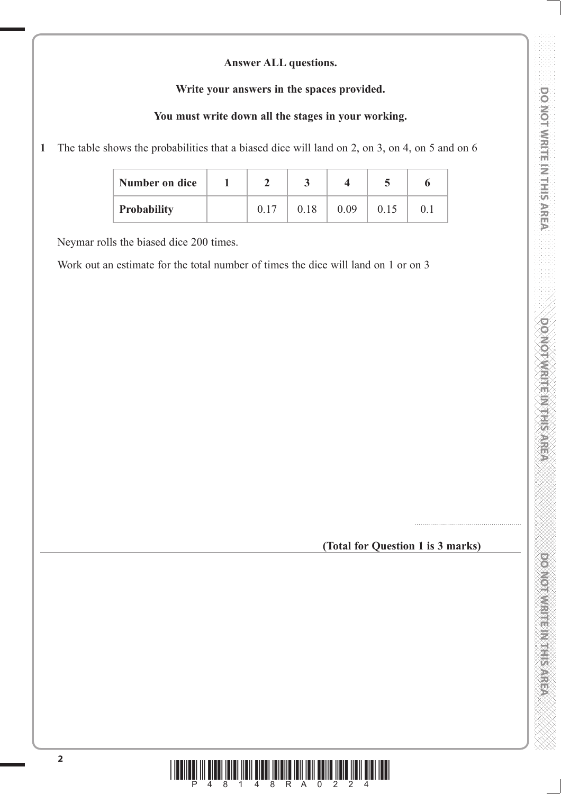#### **Answer ALL questions.**

#### **Write your answers in the spaces provided.**

### **You must write down all the stages in your working.**

**1** The table shows the probabilities that a biased dice will land on 2, on 3, on 4, on 5 and on 6

| Number on dice     |  |      |      |      |         |
|--------------------|--|------|------|------|---------|
| <b>Probability</b> |  | 0.18 | 0.09 | 0.15 | $0.1\,$ |

Neymar rolls the biased dice 200 times.

Work out an estimate for the total number of times the dice will land on 1 or on 3

**(Total for Question 1 is 3 marks)**

......................................................

**DO NOT WRITE IN THIS AREA DO NOT WRITE IN THIS AREA DO NOT WRITE IN THIS AREA DO NOT WRITE IN THIS AREA DO NOT WRITE IN THIS AREA DO NOT WRITE IN THIS AREA DO NOT WRITE IN THIS AREA DO NOT WRITE IN THIS AREA DO NOT WRITE** 

**DOMOTIVIRITE IN THIS AREA** 

DOMOTWRITE METERS AREA

DO NOT WRITE IN THIS AREA

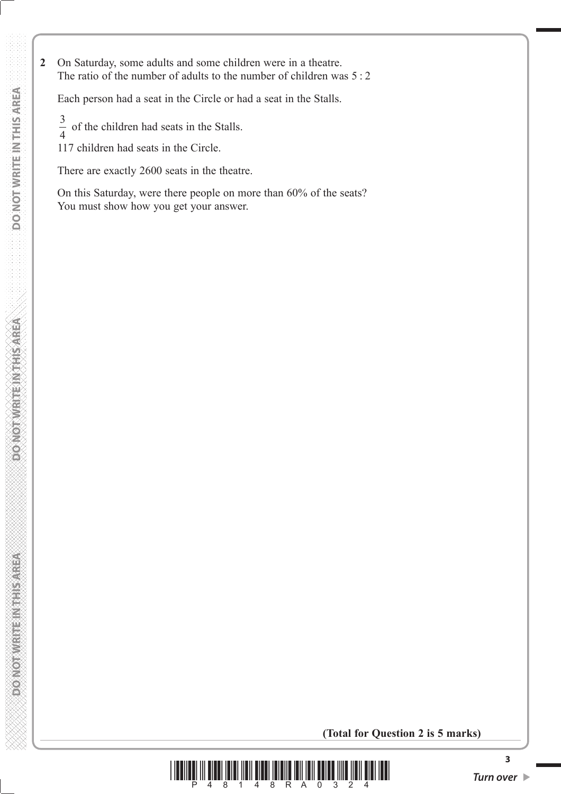**2** On Saturday, some adults and some children were in a theatre. The ratio of the number of adults to the number of children was 5 : 2

Each person had a seat in the Circle or had a seat in the Stalls.

3 4 of the children had seats in the Stalls.

117 children had seats in the Circle.

There are exactly 2600 seats in the theatre.

 On this Saturday, were there people on more than 60% of the seats? You must show how you get your answer.

**(Total for Question 2 is 5 marks)**



**3**

**DONOTHER ETHINGS**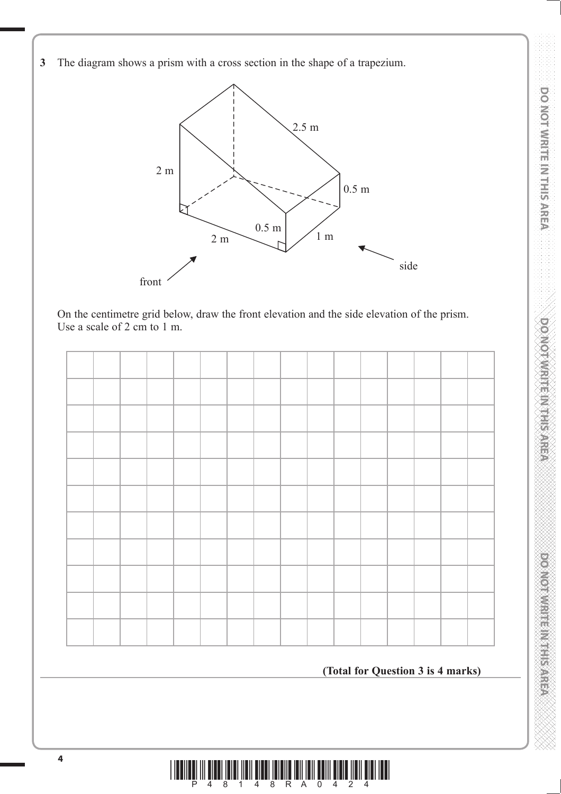**DO NOT WRITE IN THIS AREA DO NOT WRITE IN THIS AREA DO NOT WRITE IN THIS AREA DO NOT WRITE IN THIS AREA DO NOT WRITE IN THIS AREA DO NOT WRITE IN THIS AREA DO NOT WRITE IN THIS AREA DO NOT WRITE IN THIS AREA DO NOT WRITE** DO NOT WRITE IN THIS AREA

**DOMORATIVE HER RESISTANCE** 

**3** The diagram shows a prism with a cross section in the shape of a trapezium.



 On the centimetre grid below, draw the front elevation and the side elevation of the prism. Use a scale of 2 cm to 1 m.



### **(Total for Question 3 is 4 marks)**

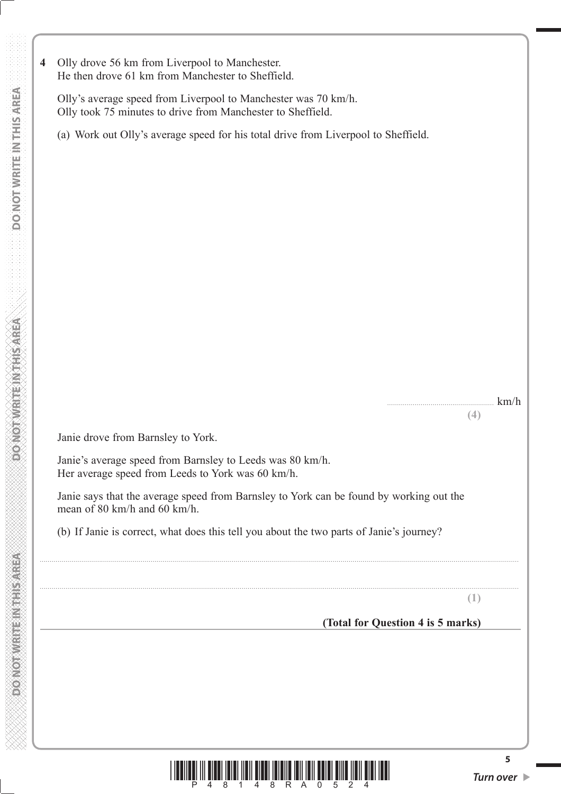**4** Olly drove 56 km from Liverpool to Manchester. He then drove 61 km from Manchester to Sheffield.

 Olly's average speed from Liverpool to Manchester was 70 km/h. Olly took 75 minutes to drive from Manchester to Sheffield.

(a) Work out Olly's average speed for his total drive from Liverpool to Sheffield.

...................................................... km/h

**(4)**

Janie drove from Barnsley to York.

 Janie's average speed from Barnsley to Leeds was 80 km/h. Her average speed from Leeds to York was 60 km/h.

 Janie says that the average speed from Barnsley to York can be found by working out the mean of 80 km/h and 60 km/h.

..................................................................................................................................................................................................................................................

..................................................................................................................................................................................................................................................

(b) If Janie is correct, what does this tell you about the two parts of Janie's journey?

**(1)**

### **(Total for Question 4 is 5 marks)**



**5**

**ASSAYS SHEET MEETING CONGER**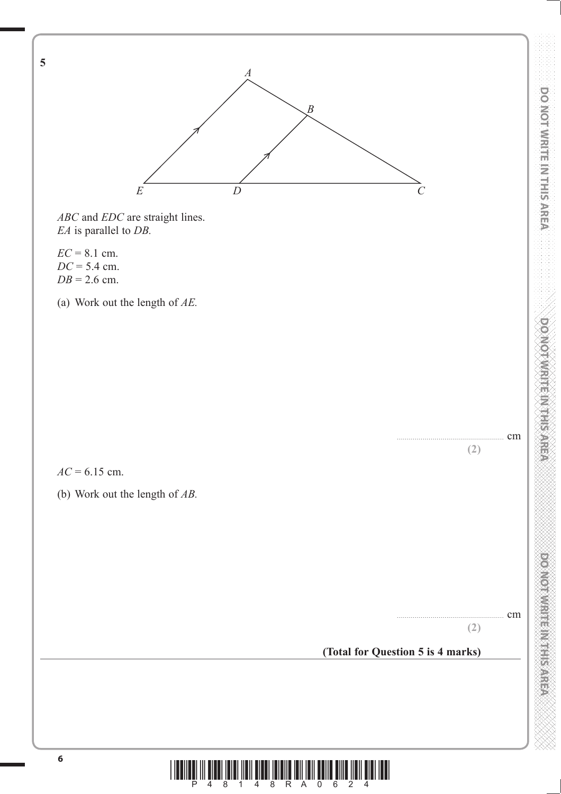

**DO NOT WRITE IN THIS AREA DO NOT WRITE IN THIS AREA DO NOT WRITE IN THIS AREA DO NOT WRITE IN THIS AREA DO NOT WRITE IN THIS AREA DO NOT WRITE IN THIS AREA DO NOT WRITE IN THIS AREA DO NOT WRITE IN THIS AREA DO NOT WRITE** 

**DOMOTIVISING HISTORICA** 

**PLONIC DESCRIPTION AND PROPERTY** 

DO NOT WRITE IN THIS AREA

 $\frac{1}{2}$   $\frac{1}{4}$   $\frac{1}{8}$   $\frac{1}{1}$   $\frac{1}{4}$   $\frac{1}{8}$   $\frac{1}{8}$   $\frac{1}{10}$   $\frac{1}{10}$   $\frac{1}{2}$   $\frac{1}{10}$   $\frac{1}{2}$   $\frac{1}{4}$   $\frac{1}{10}$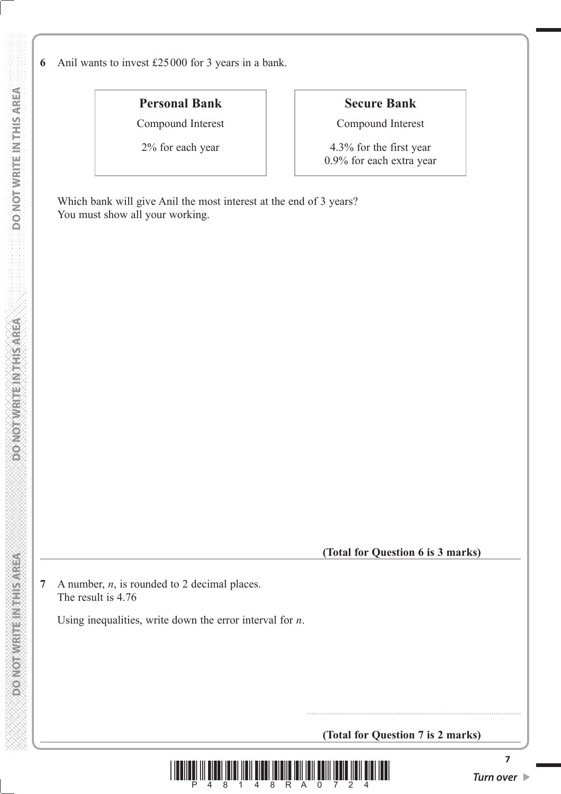**6** Anil wants to invest £25000 for 3 years in a bank.

# **Personal Bank**

Compound Interest

2% for each year

### **Secure Bank**

Compound Interest

4.3% for the first year 0.9% for each extra year

 Which bank will give Anil the most interest at the end of 3 years? You must show all your working.

**(Total for Question 6 is 3 marks)**

**7** A number, *n*, is rounded to 2 decimal places. The result is 4.76

Using inequalities, write down the error interval for *n*.

**(Total for Question 7 is 2 marks)**

............................................................................................................



**7**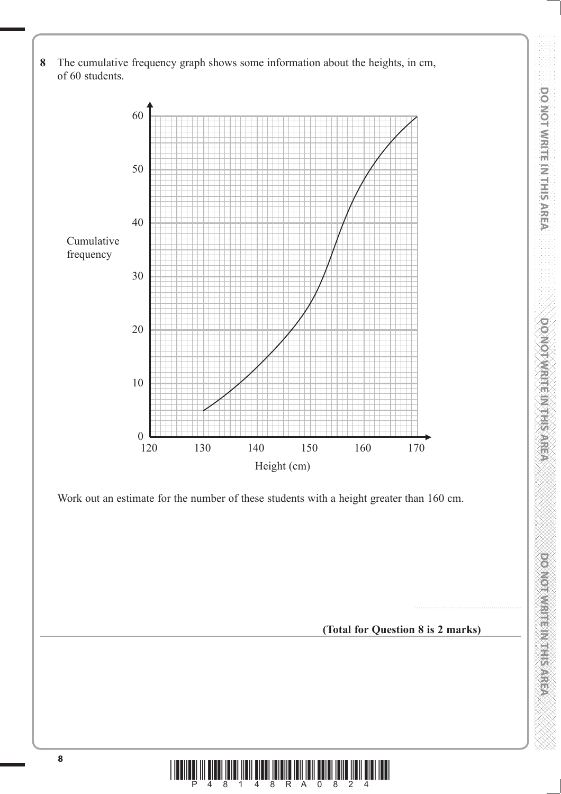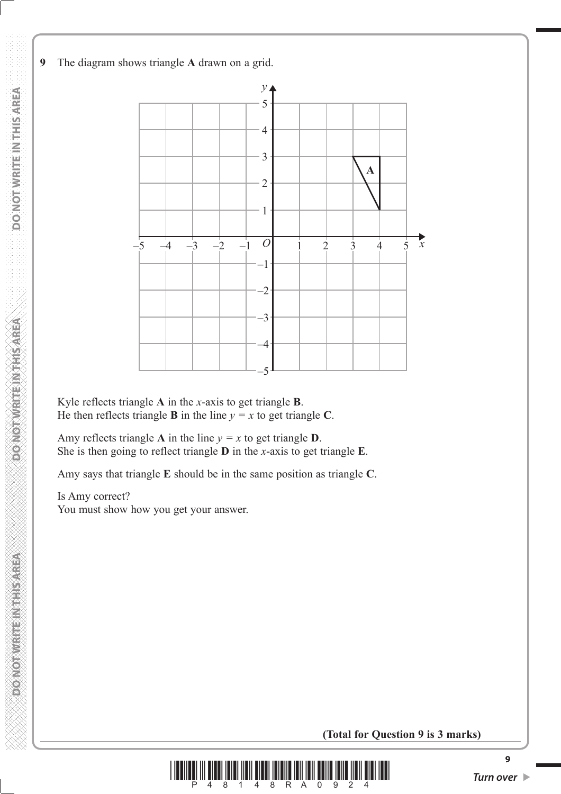

 Kyle reflects triangle **A** in the *x*-axis to get triangle **B**. He then reflects triangle **B** in the line  $y = x$  to get triangle **C**.

Amy reflects triangle **A** in the line  $y = x$  to get triangle **D**. She is then going to reflect triangle **D** in the *x*-axis to get triangle **E**.

Amy says that triangle **E** should be in the same position as triangle **C**.

#### Is Amy correct? You must show how you get your answer.

**(Total for Question 9 is 3 marks)**



**MONOTHER REPAIRING CONFORM**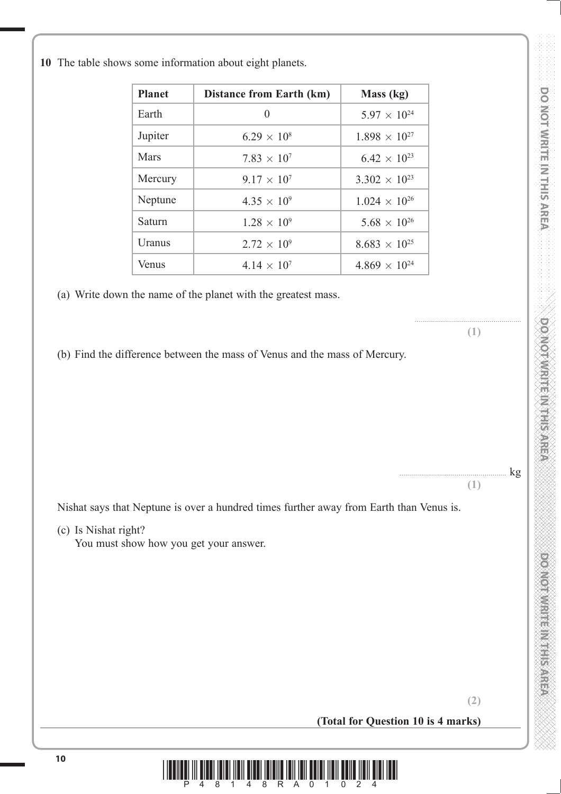$kg$ 

|  |  |  |  | 10 The table shows some information about eight planets. |  |  |  |
|--|--|--|--|----------------------------------------------------------|--|--|--|
|--|--|--|--|----------------------------------------------------------|--|--|--|

| <b>Planet</b> | <b>Distance from Earth (km)</b> | Mass (kg)              |
|---------------|---------------------------------|------------------------|
| Earth         | $\theta$                        | $5.97 \times 10^{24}$  |
| Jupiter       | $6.29 \times 10^{8}$            | $1.898 \times 10^{27}$ |
| Mars          | $7.83 \times 10^{7}$            | $6.42 \times 10^{23}$  |
| Mercury       | $9.17 \times 10^{7}$            | $3.302 \times 10^{23}$ |
| Neptune       | $4.35 \times 10^{9}$            | $1.024 \times 10^{26}$ |
| Saturn        | $1.28 \times 10^{9}$            | $5.68 \times 10^{26}$  |
| Uranus        | $2.72 \times 10^{9}$            | $8.683 \times 10^{25}$ |
| Venus         | $4.14 \times 10^{7}$            | $4.869 \times 10^{24}$ |

(a) Write down the name of the planet with the greatest mass.

**(1)**

**(1)**

......................................................

(b) Find the difference between the mass of Venus and the mass of Mercury.

Nishat says that Neptune is over a hundred times further away from Earth than Venus is.

(c) Is Nishat right?

You must show how you get your answer.

**(2) (Total for Question 10 is 4 marks)**

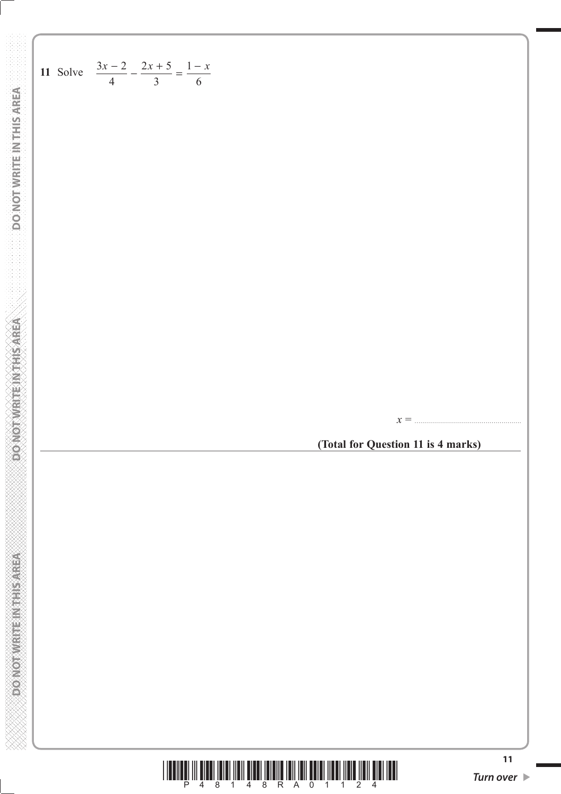$$
\frac{3x}{4} = \frac{2x+5}{3} = \frac{1-x}{6}
$$
\n11 Solve  $\frac{3x-2}{4} - \frac{2x+5}{3} = \frac{1-x}{6}$ 

\n22.14.  $\frac{3x}{4} = \frac{1-x}{6}$ 

\n33.15.  $\frac{3x}{4} = \frac{1-x}{6}$ 

\n44.  $\frac{3x}{4} = \frac{1-x}{6}$ 

\n55.  $\frac{3x}{4} = \frac{1-x}{6}$ 

\n66.  $\frac{x}{4} = \frac{1-x}{6}$ 

\n77.  $\frac{x}{4} = \frac{1-x}{6}$ 

\n88.  $\frac{3x}{4} = \frac{1-x}{6}$ 

\n99.  $\frac{x}{4} = \frac{1-x}{6}$ 

\n100.  $\frac{x}{4} = \frac{1-x}{6}$ 

\n11.  $\frac{x}{4} = \frac{1-x}{6}$ 

\n12.  $\frac{3x}{4} = \frac{1-x}{6}$ 

\n13.  $\frac{5x}{4} = \frac{1-x}{6}$ 

\n14.  $\frac{5x}{4} = \frac{1-x}{6}$ 

\n15.  $\frac{4}{3} = \frac{1-x}{6}$ 

\n16.  $\frac{1-x}{6} = \frac{1-x}{6}$ 

\n17.  $\frac{1}{2} = \frac{1-x}{6}$ 

\n18.  $\frac{1}{2} = \frac{1-x}{6}$ 

\n19.  $\frac{1}{2} = \frac{1-x}{6}$ 

\n10.  $\frac{1}{2} = \frac{1-x}{6}$ 

\n11.  $\frac{1}{2} = \frac{1-x}{6}$ 

\n12.  $\frac{1}{2} = \frac{1-x}{6}$ 

\n13.  $\frac{1}{2} = \frac{1-x}{6}$ 

\n14.  $\frac{1}{2} = \frac{1-x}{6}$ 

\n15.  $\frac{1}{2} = \frac{1-x}{6}$ 

\n16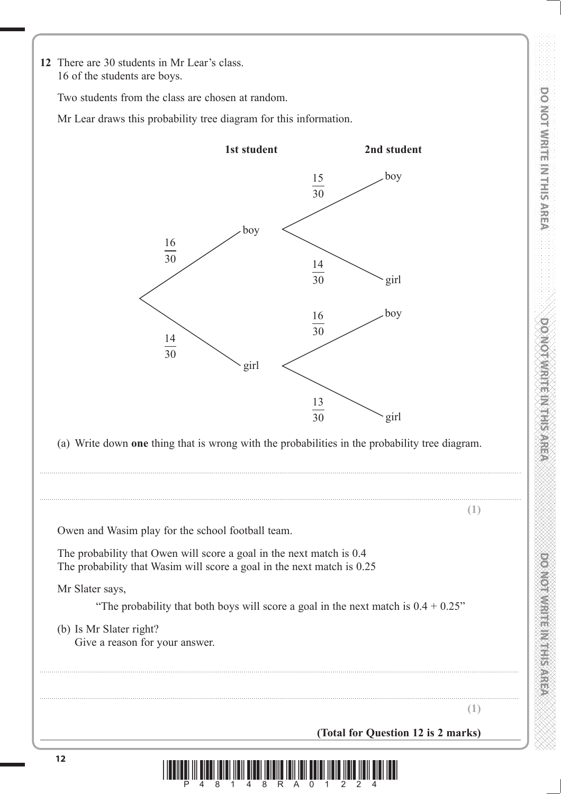**DOMORATION** ENTERTAINMENT

**12** There are 30 students in Mr Lear's class. 16 of the students are boys.

Two students from the class are chosen at random.

Mr Lear draws this probability tree diagram for this information.

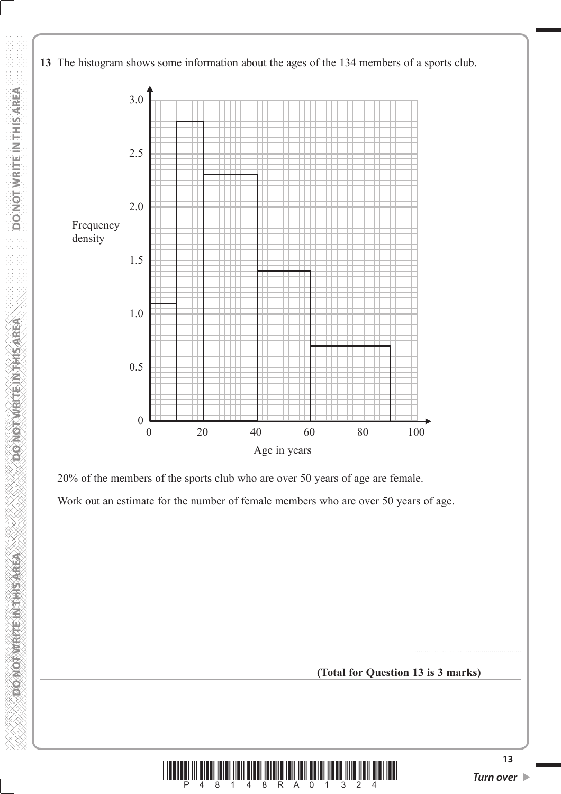

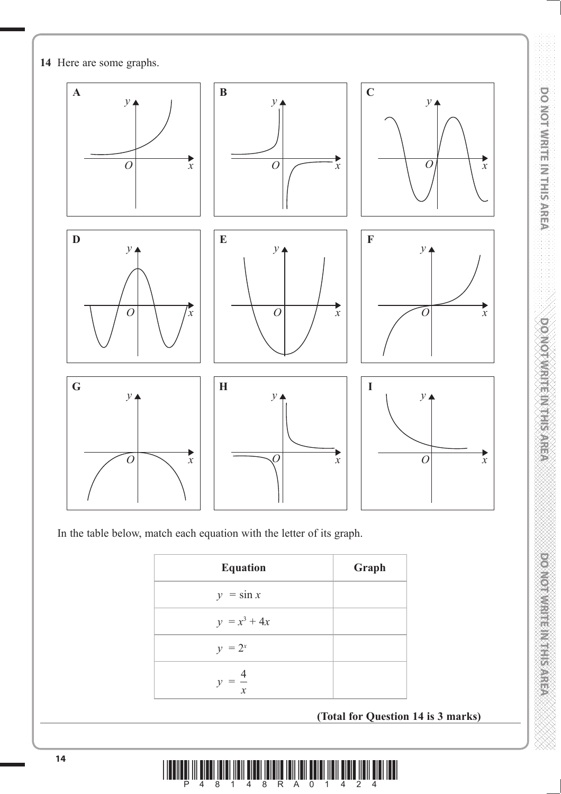

In the table below, match each equation with the letter of its graph.

| <b>Equation</b>   | Graph |
|-------------------|-------|
| $y = \sin x$      |       |
| $y = x^3 + 4x$    |       |
| $y = 2^x$         |       |
| $y = \frac{4}{x}$ |       |

**(Total for Question 14 is 3 marks)**



**DOMOTAMENT RANGER** 

DO NOT WRITE IN THIS AREA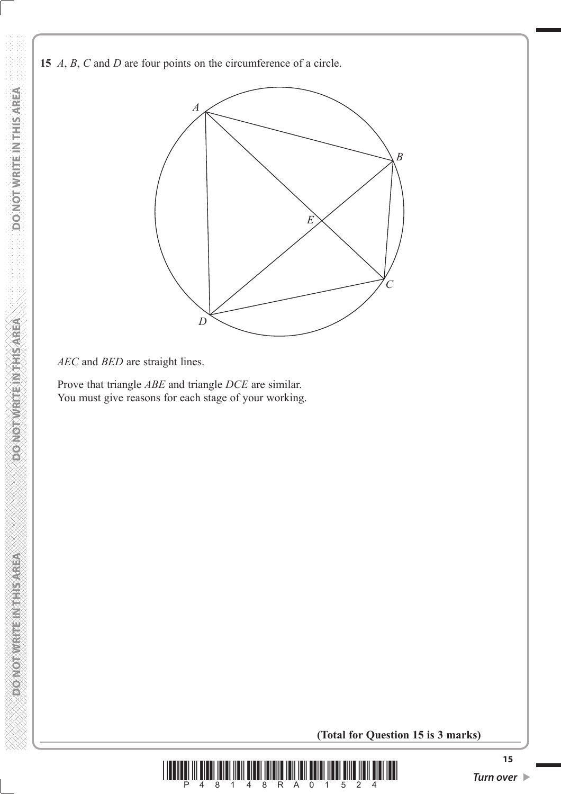**15** *A*, *B*, *C* and *D* are four points on the circumference of a circle.



### *AEC* and *BED* are straight lines.

 Prove that triangle *ABE* and triangle *DCE* are similar. You must give reasons for each stage of your working.

**(Total for Question 15 is 3 marks)**



**DOMORATE REGISTER OF**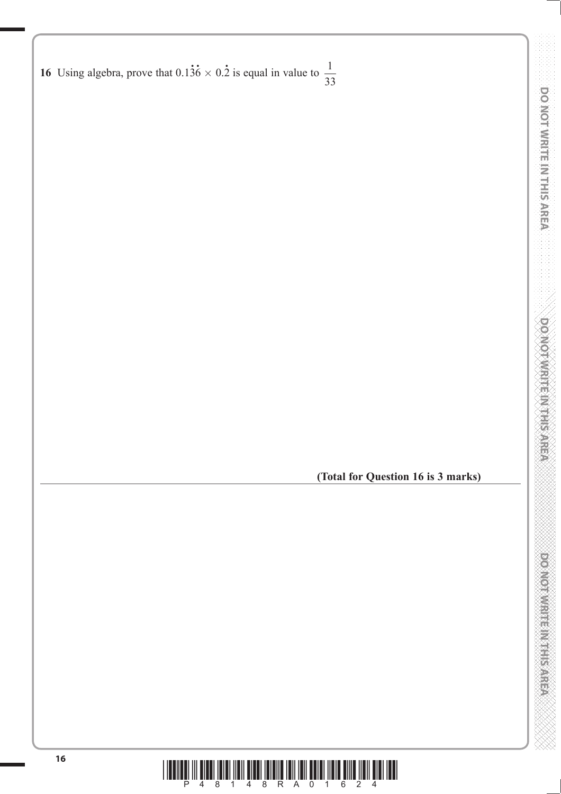| 16 Using algebra, prove that $0.13\dot{6} \times 0.\dot{2}$ is equal in value to $\frac{1}{33}$ |  |  |  |  |
|-------------------------------------------------------------------------------------------------|--|--|--|--|

**(Total for Question 16 is 3 marks)**

DO NOT WRITE IN THIS AREA



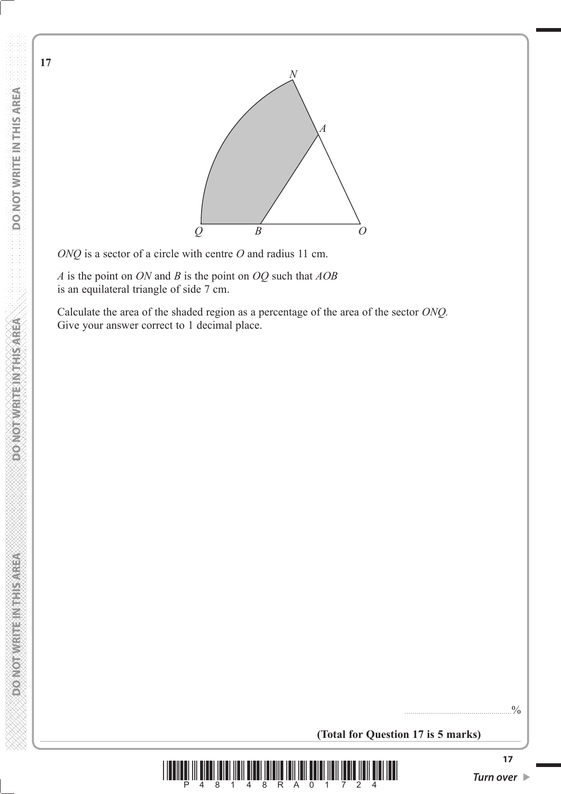

*ONQ* is a sector of a circle with centre *O* and radius 11 cm.

 *A* is the point on *ON* and *B* is the point on *OQ* such that *AOB* is an equilateral triangle of side 7 cm.

 Calculate the area of the shaded region as a percentage of the area of the sector *ONQ.* Give your answer correct to 1 decimal place.

......................................................%

**(Total for Question 17 is 5 marks)**



**17**

**DONOT WRITEIN THIS AREA**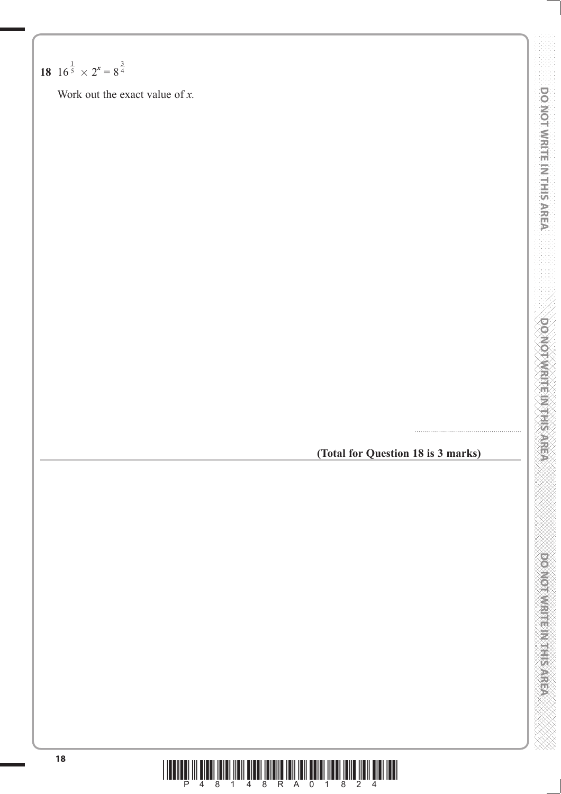# **18**  $16^{\frac{1}{5}} \times 2^{x} = 8^{\frac{3}{4}}$

Work out the exact value of *x.*

# **(Total for Question 18 is 3 marks)**

......................................................



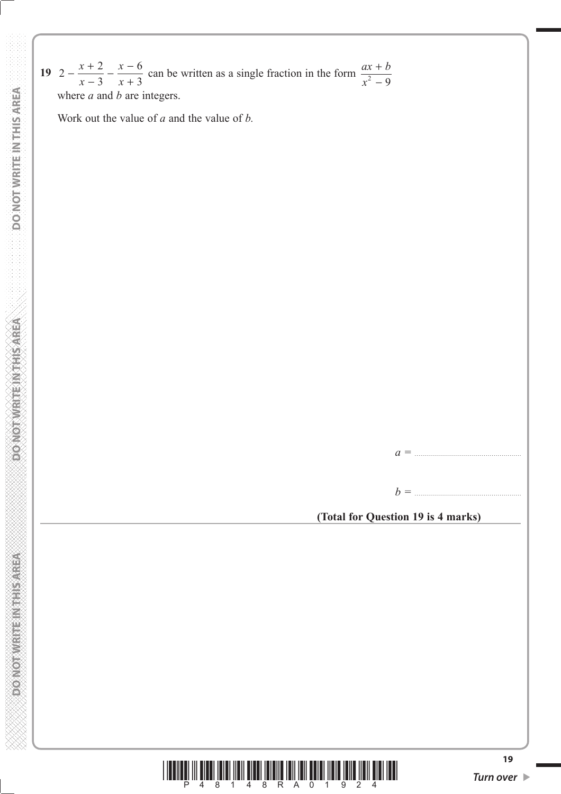19  $2 - \frac{x+2}{2}$ 3  $-\frac{x+2}{x-3} - \frac{x-6}{x+3}$ *x x x x* can be written as a single fraction in the form  $\frac{ax + b}{a^2}$ *x* +  $^{2}-9$ where *a* and *b* are integers.

Work out the value of *a* and the value of *b.*

*a =* ......................................................

*b =* ......................................................

**(Total for Question 19 is 4 marks)**

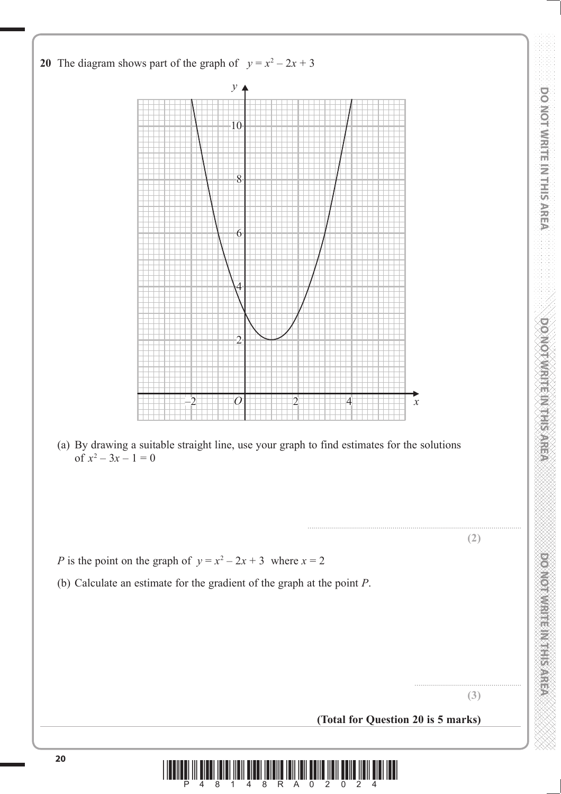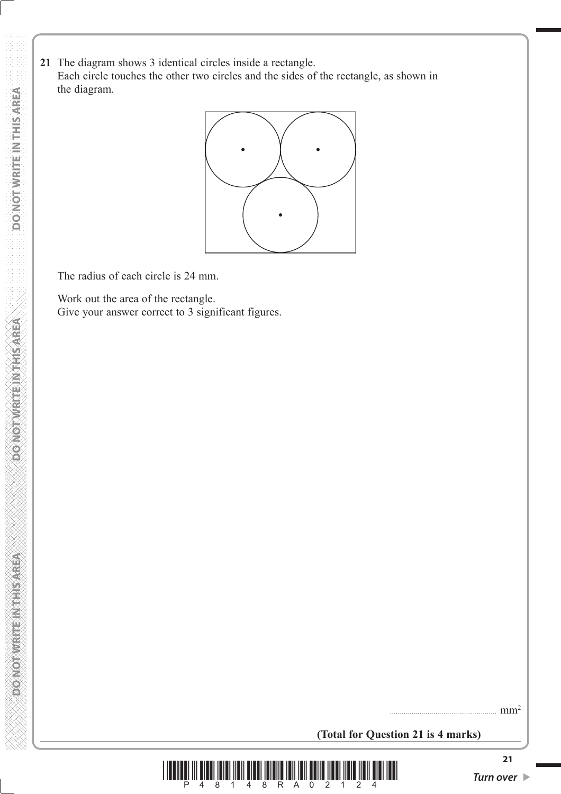**21** The diagram shows 3 identical circles inside a rectangle. Each circle touches the other two circles and the sides of the rectangle, as shown in the diagram.



The radius of each circle is 24 mm.

 Work out the area of the rectangle. Give your answer correct to 3 significant figures.

...................................................... mm2

**(Total for Question 21 is 4 marks)**



**DONOT WRITEIN THIS AREA**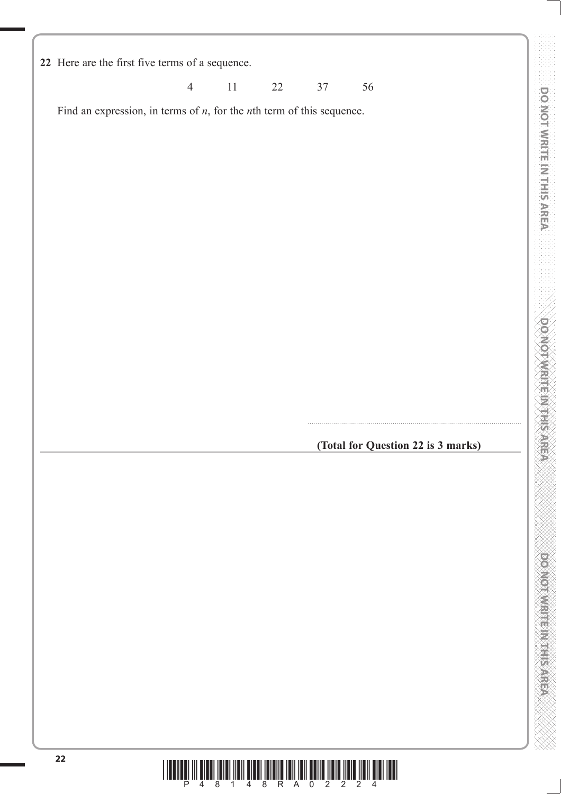**DO NOT WRITE IN THIS AREA DO NOT WRITE IN THIS AREA DO NOT WRITE IN THIS AREA DO NOT WRITE IN THIS AREA DO NOT WRITE IN THIS AREA DO NOT WRITE IN THIS AREA DO NOT WRITE IN THIS AREA DO NOT WRITE IN THIS AREA DO NOT WRITE 22** Here are the first five terms of a sequence. 4 11 22 37 56 DO NOT WRITE IN THIS AREA Find an expression, in terms of *n*, for the *n*th term of this sequence. **DOMOTIVITIE INTHESTER** ............................................................................................................ **(Total for Question 22 is 3 marks)DOMOTIVE IN EINER ASSESS** 

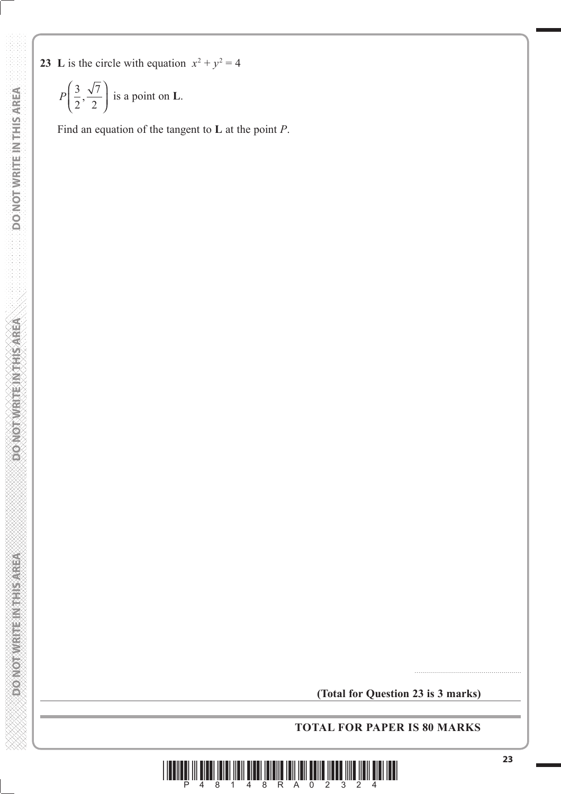- DO NOT WRITE IN THIS AREA  **DO NOT WRITE IN THIS AREA DO NOT WRITE IN THIS AREA DO NOT WRITE IN THIS AREA DO NOT WRITE IN THIS AREA DO NOT DOMORWATE NOTHS AREA**
- **WE ENSIGNEED FOR EMPLOYMENT**

**23** L is the circle with equation  $x^2 + y^2 = 4$ 

$$
P\left(\frac{3}{2}, \frac{\sqrt{7}}{2}\right)
$$
 is a point on L.

Find an equation of the tangent to **L** at the point *P*.

**(Total for Question 23 is 3 marks)**

### **TOTAL FOR PAPER IS 80 MARKS**



......................................................